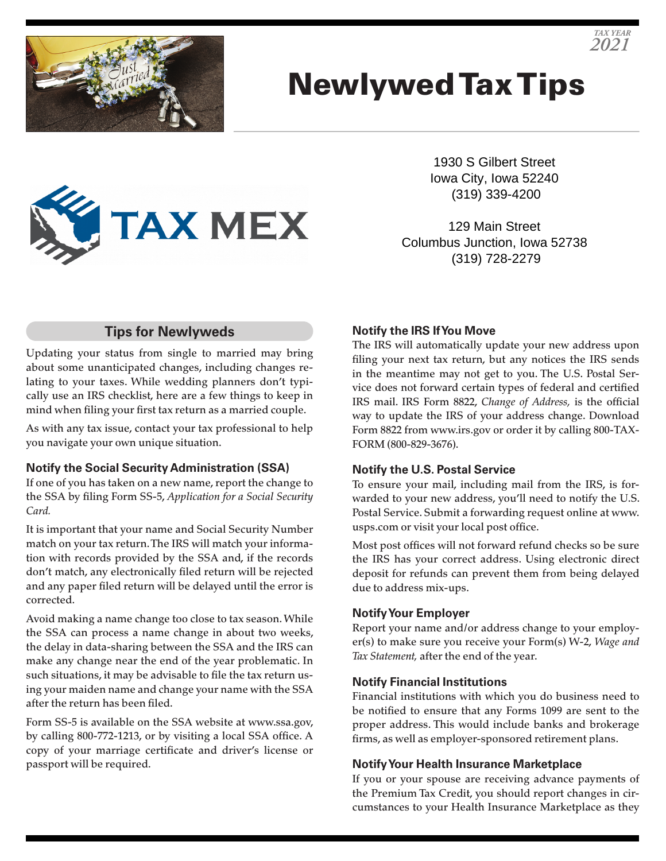# Newlywed Tax Tips

**TAX MEX** 

1930 S Gilbert Street Iowa City, Iowa 52240 (319) 339-4200

129 Main Street Columbus Junction, Iowa 52738 (319) 728-2279

### **Tips for Newlyweds**

Updating your status from single to married may bring about some unanticipated changes, including changes relating to your taxes. While wedding planners don't typically use an IRS checklist, here are a few things to keep in mind when filing your first tax return as a married couple.

As with any tax issue, contact your tax professional to help you navigate your own unique situation.

#### **Notify the Social Security Administration (SSA)**

If one of you has taken on a new name, report the change to the SSA by filing Form SS-5, *Application for a Social Security Card.*

It is important that your name and Social Security Number match on your tax return. The IRS will match your information with records provided by the SSA and, if the records don't match, any electronically filed return will be rejected and any paper filed return will be delayed until the error is corrected.

Avoid making a name change too close to tax season. While the SSA can process a name change in about two weeks, the delay in data-sharing between the SSA and the IRS can make any change near the end of the year problematic. In such situations, it may be advisable to file the tax return using your maiden name and change your name with the SSA after the return has been filed.

Form SS-5 is available on the SSA website at www.ssa.gov, by calling 800-772-1213, or by visiting a local SSA office. A copy of your marriage certificate and driver's license or passport will be required.

#### **Notify the IRS If You Move**

The IRS will automatically update your new address upon filing your next tax return, but any notices the IRS sends in the meantime may not get to you. The U.S. Postal Service does not forward certain types of federal and certified IRS mail. IRS Form 8822, *Change of Address,* is the official way to update the IRS of your address change. Download Form 8822 from www.irs.gov or order it by calling 800-TAX-FORM (800-829-3676).

#### **Notify the U.S. Postal Service**

To ensure your mail, including mail from the IRS, is forwarded to your new address, you'll need to notify the U.S. Postal Service. Submit a forwarding request online at www. usps.com or visit your local post office.

Most post offices will not forward refund checks so be sure the IRS has your correct address. Using electronic direct deposit for refunds can prevent them from being delayed due to address mix-ups.

#### **Notify Your Employer**

Report your name and/or address change to your employer(s) to make sure you receive your Form(s) W-2, *Wage and Tax Statement,* after the end of the year.

#### **Notify Financial Institutions**

Financial institutions with which you do business need to be notified to ensure that any Forms 1099 are sent to the proper address. This would include banks and brokerage firms, as well as employer-sponsored retirement plans.

#### **Notify Your Health Insurance Marketplace**

If you or your spouse are receiving advance payments of the Premium Tax Credit, you should report changes in circumstances to your Health Insurance Marketplace as they